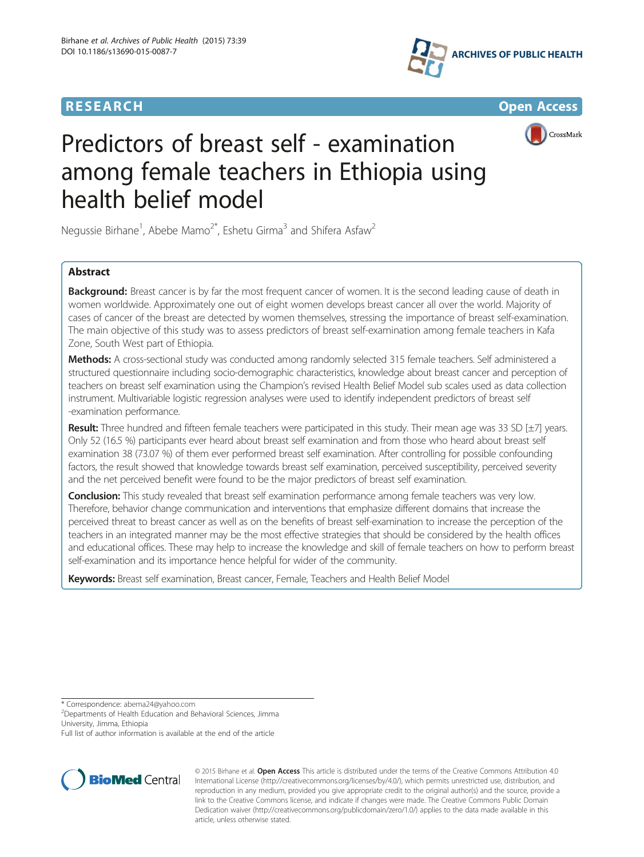







# Predictors of breast self - examination among female teachers in Ethiopia using health belief model

Negussie Birhane<sup>1</sup>, Abebe Mamo<sup>2\*</sup>, Eshetu Girma<sup>3</sup> and Shifera Asfaw<sup>2</sup>

# Abstract

Background: Breast cancer is by far the most frequent cancer of women. It is the second leading cause of death in women worldwide. Approximately one out of eight women develops breast cancer all over the world. Majority of cases of cancer of the breast are detected by women themselves, stressing the importance of breast self-examination. The main objective of this study was to assess predictors of breast self-examination among female teachers in Kafa Zone, South West part of Ethiopia.

Methods: A cross-sectional study was conducted among randomly selected 315 female teachers. Self administered a structured questionnaire including socio-demographic characteristics, knowledge about breast cancer and perception of teachers on breast self examination using the Champion's revised Health Belief Model sub scales used as data collection instrument. Multivariable logistic regression analyses were used to identify independent predictors of breast self -examination performance.

Result: Three hundred and fifteen female teachers were participated in this study. Their mean age was 33 SD [±7] years. Only 52 (16.5 %) participants ever heard about breast self examination and from those who heard about breast self examination 38 (73.07 %) of them ever performed breast self examination. After controlling for possible confounding factors, the result showed that knowledge towards breast self examination, perceived susceptibility, perceived severity and the net perceived benefit were found to be the major predictors of breast self examination.

**Conclusion:** This study revealed that breast self examination performance among female teachers was very low. Therefore, behavior change communication and interventions that emphasize different domains that increase the perceived threat to breast cancer as well as on the benefits of breast self-examination to increase the perception of the teachers in an integrated manner may be the most effective strategies that should be considered by the health offices and educational offices. These may help to increase the knowledge and skill of female teachers on how to perform breast self-examination and its importance hence helpful for wider of the community.

Keywords: Breast self examination, Breast cancer, Female, Teachers and Health Belief Model

\* Correspondence: [abema24@yahoo.com](mailto:abema24@yahoo.com) <sup>2</sup>

<sup>2</sup>Departments of Health Education and Behavioral Sciences, Jimma University, Jimma, Ethiopia

Full list of author information is available at the end of the article



© 2015 Birhane et al. Open Access This article is distributed under the terms of the Creative Commons Attribution 4.0 International License [\(http://creativecommons.org/licenses/by/4.0/\)](http://creativecommons.org/licenses/by/4.0/), which permits unrestricted use, distribution, and reproduction in any medium, provided you give appropriate credit to the original author(s) and the source, provide a link to the Creative Commons license, and indicate if changes were made. The Creative Commons Public Domain Dedication waiver ([http://creativecommons.org/publicdomain/zero/1.0/\)](http://creativecommons.org/publicdomain/zero/1.0/) applies to the data made available in this article, unless otherwise stated.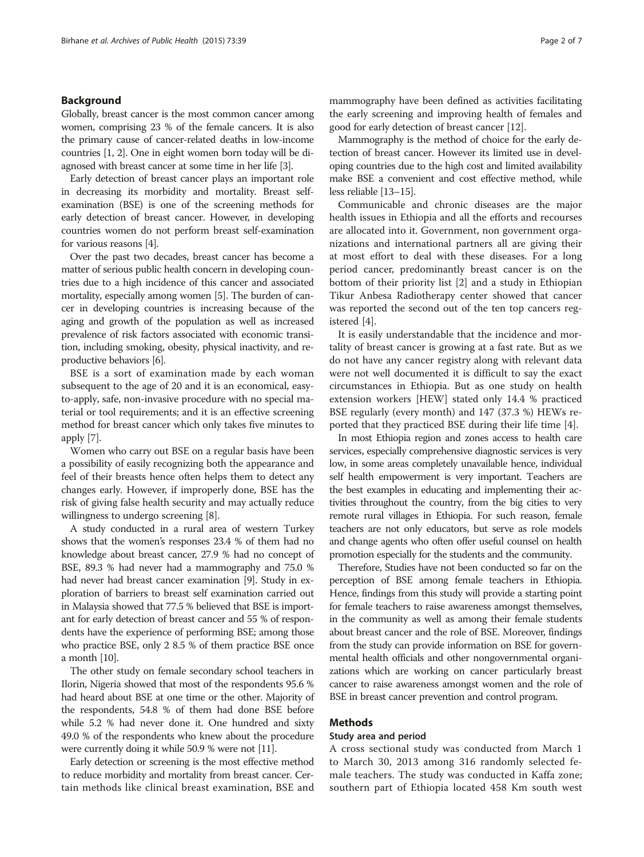## Background

Globally, breast cancer is the most common cancer among women, comprising 23 % of the female cancers. It is also the primary cause of cancer-related deaths in low-income countries [[1](#page-5-0), [2](#page-5-0)]. One in eight women born today will be diagnosed with breast cancer at some time in her life [[3](#page-5-0)].

Early detection of breast cancer plays an important role in decreasing its morbidity and mortality. Breast selfexamination (BSE) is one of the screening methods for early detection of breast cancer. However, in developing countries women do not perform breast self-examination for various reasons [\[4\]](#page-5-0).

Over the past two decades, breast cancer has become a matter of serious public health concern in developing countries due to a high incidence of this cancer and associated mortality, especially among women [\[5\]](#page-5-0). The burden of cancer in developing countries is increasing because of the aging and growth of the population as well as increased prevalence of risk factors associated with economic transition, including smoking, obesity, physical inactivity, and reproductive behaviors [[6](#page-5-0)].

BSE is a sort of examination made by each woman subsequent to the age of 20 and it is an economical, easyto-apply, safe, non-invasive procedure with no special material or tool requirements; and it is an effective screening method for breast cancer which only takes five minutes to apply [[7\]](#page-5-0).

Women who carry out BSE on a regular basis have been a possibility of easily recognizing both the appearance and feel of their breasts hence often helps them to detect any changes early. However, if improperly done, BSE has the risk of giving false health security and may actually reduce willingness to undergo screening [\[8](#page-5-0)].

A study conducted in a rural area of western Turkey shows that the women's responses 23.4 % of them had no knowledge about breast cancer, 27.9 % had no concept of BSE, 89.3 % had never had a mammography and 75.0 % had never had breast cancer examination [\[9](#page-5-0)]. Study in exploration of barriers to breast self examination carried out in Malaysia showed that 77.5 % believed that BSE is important for early detection of breast cancer and 55 % of respondents have the experience of performing BSE; among those who practice BSE, only 2 8.5 % of them practice BSE once a month  $|10|$ .

The other study on female secondary school teachers in Ilorin, Nigeria showed that most of the respondents 95.6 % had heard about BSE at one time or the other. Majority of the respondents, 54.8 % of them had done BSE before while 5.2 % had never done it. One hundred and sixty 49.0 % of the respondents who knew about the procedure were currently doing it while 50.9 % were not [[11](#page-5-0)].

Early detection or screening is the most effective method to reduce morbidity and mortality from breast cancer. Certain methods like clinical breast examination, BSE and mammography have been defined as activities facilitating the early screening and improving health of females and good for early detection of breast cancer [\[12\]](#page-5-0).

Mammography is the method of choice for the early detection of breast cancer. However its limited use in developing countries due to the high cost and limited availability make BSE a convenient and cost effective method, while less reliable [\[13](#page-5-0)–[15\]](#page-5-0).

Communicable and chronic diseases are the major health issues in Ethiopia and all the efforts and recourses are allocated into it. Government, non government organizations and international partners all are giving their at most effort to deal with these diseases. For a long period cancer, predominantly breast cancer is on the bottom of their priority list [[2](#page-5-0)] and a study in Ethiopian Tikur Anbesa Radiotherapy center showed that cancer was reported the second out of the ten top cancers registered [\[4\]](#page-5-0).

It is easily understandable that the incidence and mortality of breast cancer is growing at a fast rate. But as we do not have any cancer registry along with relevant data were not well documented it is difficult to say the exact circumstances in Ethiopia. But as one study on health extension workers [HEW] stated only 14.4 % practiced BSE regularly (every month) and 147 (37.3 %) HEWs reported that they practiced BSE during their life time [[4\]](#page-5-0).

In most Ethiopia region and zones access to health care services, especially comprehensive diagnostic services is very low, in some areas completely unavailable hence, individual self health empowerment is very important. Teachers are the best examples in educating and implementing their activities throughout the country, from the big cities to very remote rural villages in Ethiopia. For such reason, female teachers are not only educators, but serve as role models and change agents who often offer useful counsel on health promotion especially for the students and the community.

Therefore, Studies have not been conducted so far on the perception of BSE among female teachers in Ethiopia. Hence, findings from this study will provide a starting point for female teachers to raise awareness amongst themselves, in the community as well as among their female students about breast cancer and the role of BSE. Moreover, findings from the study can provide information on BSE for governmental health officials and other nongovernmental organizations which are working on cancer particularly breast cancer to raise awareness amongst women and the role of BSE in breast cancer prevention and control program.

#### Methods

## Study area and period

A cross sectional study was conducted from March 1 to March 30, 2013 among 316 randomly selected female teachers. The study was conducted in Kaffa zone; southern part of Ethiopia located 458 Km south west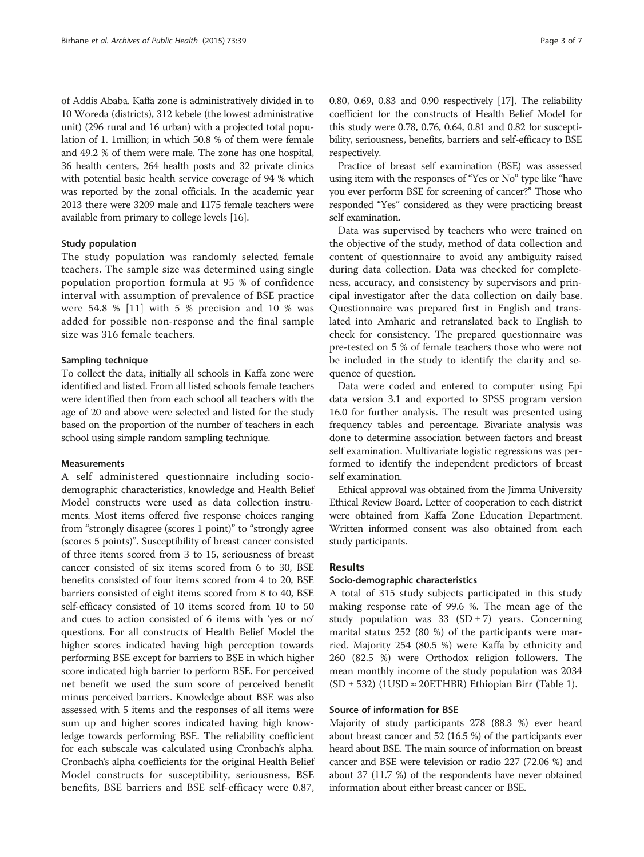of Addis Ababa. Kaffa zone is administratively divided in to 10 Woreda (districts), 312 kebele (the lowest administrative unit) (296 rural and 16 urban) with a projected total population of 1. 1million; in which 50.8 % of them were female and 49.2 % of them were male. The zone has one hospital, 36 health centers, 264 health posts and 32 private clinics with potential basic health service coverage of 94 % which was reported by the zonal officials. In the academic year 2013 there were 3209 male and 1175 female teachers were available from primary to college levels [[16](#page-5-0)].

#### Study population

The study population was randomly selected female teachers. The sample size was determined using single population proportion formula at 95 % of confidence interval with assumption of prevalence of BSE practice were 54.8 % [[11\]](#page-5-0) with 5 % precision and 10 % was added for possible non-response and the final sample size was 316 female teachers.

#### Sampling technique

To collect the data, initially all schools in Kaffa zone were identified and listed. From all listed schools female teachers were identified then from each school all teachers with the age of 20 and above were selected and listed for the study based on the proportion of the number of teachers in each school using simple random sampling technique.

#### Measurements

A self administered questionnaire including sociodemographic characteristics, knowledge and Health Belief Model constructs were used as data collection instruments. Most items offered five response choices ranging from "strongly disagree (scores 1 point)" to "strongly agree (scores 5 points)". Susceptibility of breast cancer consisted of three items scored from 3 to 15, seriousness of breast cancer consisted of six items scored from 6 to 30, BSE benefits consisted of four items scored from 4 to 20, BSE barriers consisted of eight items scored from 8 to 40, BSE self-efficacy consisted of 10 items scored from 10 to 50 and cues to action consisted of 6 items with 'yes or no' questions. For all constructs of Health Belief Model the higher scores indicated having high perception towards performing BSE except for barriers to BSE in which higher score indicated high barrier to perform BSE. For perceived net benefit we used the sum score of perceived benefit minus perceived barriers. Knowledge about BSE was also assessed with 5 items and the responses of all items were sum up and higher scores indicated having high knowledge towards performing BSE. The reliability coefficient for each subscale was calculated using Cronbach's alpha. Cronbach's alpha coefficients for the original Health Belief Model constructs for susceptibility, seriousness, BSE benefits, BSE barriers and BSE self-efficacy were 0.87,

0.80, 0.69, 0.83 and 0.90 respectively [\[17\]](#page-5-0). The reliability coefficient for the constructs of Health Belief Model for this study were 0.78, 0.76, 0.64, 0.81 and 0.82 for susceptibility, seriousness, benefits, barriers and self-efficacy to BSE respectively.

Practice of breast self examination (BSE) was assessed using item with the responses of "Yes or No" type like "have you ever perform BSE for screening of cancer?" Those who responded "Yes" considered as they were practicing breast self examination.

Data was supervised by teachers who were trained on the objective of the study, method of data collection and content of questionnaire to avoid any ambiguity raised during data collection. Data was checked for completeness, accuracy, and consistency by supervisors and principal investigator after the data collection on daily base. Questionnaire was prepared first in English and translated into Amharic and retranslated back to English to check for consistency. The prepared questionnaire was pre-tested on 5 % of female teachers those who were not be included in the study to identify the clarity and sequence of question.

Data were coded and entered to computer using Epi data version 3.1 and exported to SPSS program version 16.0 for further analysis. The result was presented using frequency tables and percentage. Bivariate analysis was done to determine association between factors and breast self examination. Multivariate logistic regressions was performed to identify the independent predictors of breast self examination.

Ethical approval was obtained from the Jimma University Ethical Review Board. Letter of cooperation to each district were obtained from Kaffa Zone Education Department. Written informed consent was also obtained from each study participants.

#### Results

#### Socio-demographic characteristics

A total of 315 study subjects participated in this study making response rate of 99.6 %. The mean age of the study population was 33 (SD  $\pm$  7) years. Concerning marital status 252 (80 %) of the participants were married. Majority 254 (80.5 %) were Kaffa by ethnicity and 260 (82.5 %) were Orthodox religion followers. The mean monthly income of the study population was 2034  $(SD \pm 532)$  (1USD ≈ 20ETHBR) Ethiopian Birr (Table [1\)](#page-3-0).

#### Source of information for BSE

Majority of study participants 278 (88.3 %) ever heard about breast cancer and 52 (16.5 %) of the participants ever heard about BSE. The main source of information on breast cancer and BSE were television or radio 227 (72.06 %) and about 37 (11.7 %) of the respondents have never obtained information about either breast cancer or BSE.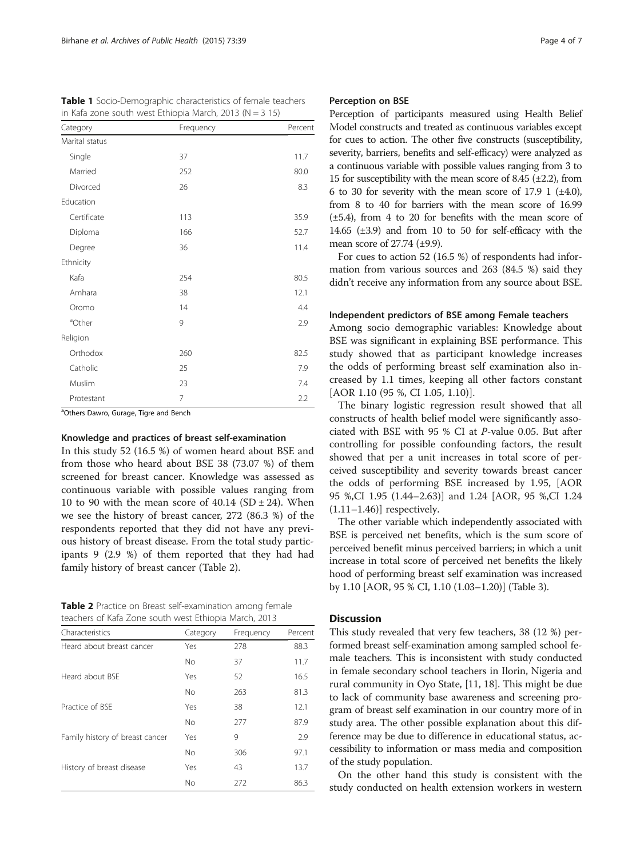| Category           | Frequency | Percent |
|--------------------|-----------|---------|
| Marital status     |           |         |
| Single             | 37        | 11.7    |
| Married            | 252       | 80.0    |
| Divorced           | 26        | 8.3     |
| Education          |           |         |
| Certificate        | 113       | 35.9    |
| Diploma            | 166       | 52.7    |
| Degree             | 36        | 11.4    |
| Ethnicity          |           |         |
| Kafa               | 254       | 80.5    |
| Amhara             | 38        | 12.1    |
| Oromo              | 14        | 4.4     |
| <sup>a</sup> Other | 9         | 2.9     |
| Religion           |           |         |
| Orthodox           | 260       | 82.5    |
| Catholic           | 25        | 7.9     |
| Muslim             | 23        | 7.4     |
| Protestant         | 7         | 2.2     |

<span id="page-3-0"></span>Table 1 Socio-Demographic characteristics of female teachers in Kafa zone south west Ethiopia March,  $2013$  (N = 3 15)

<sup>a</sup>Others Dawro, Gurage, Tigre and Bench

## Knowledge and practices of breast self-examination

In this study 52 (16.5 %) of women heard about BSE and from those who heard about BSE 38 (73.07 %) of them screened for breast cancer. Knowledge was assessed as continuous variable with possible values ranging from 10 to 90 with the mean score of  $40.14$  (SD  $\pm$  24). When we see the history of breast cancer, 272 (86.3 %) of the respondents reported that they did not have any previous history of breast disease. From the total study participants 9 (2.9 %) of them reported that they had had family history of breast cancer (Table 2).

Table 2 Practice on Breast self-examination among female teachers of Kafa Zone south west Ethiopia March, 2013

| Characteristics                 | Category  | Frequency | Percent |
|---------------------------------|-----------|-----------|---------|
| Heard about breast cancer       | Yes       | 278       | 88.3    |
|                                 | <b>No</b> | 37        | 11.7    |
| Heard about BSE                 | Yes       | 52        | 16.5    |
|                                 | <b>No</b> | 263       | 81.3    |
| Practice of BSF                 | Yes       | 38        | 12.1    |
|                                 | <b>No</b> | 277       | 87.9    |
| Family history of breast cancer | Yes       | 9         | 2.9     |
|                                 | <b>No</b> | 306       | 97.1    |
| History of breast disease       | Yes       | 43        | 13.7    |
|                                 | No        | 272       | 86.3    |

## Perception on BSE

Perception of participants measured using Health Belief Model constructs and treated as continuous variables except for cues to action. The other five constructs (susceptibility, severity, barriers, benefits and self-efficacy) were analyzed as a continuous variable with possible values ranging from 3 to 15 for susceptibility with the mean score of 8.45  $(\pm 2.2)$ , from 6 to 30 for severity with the mean score of 17.9 1  $(\pm 4.0)$ , from 8 to 40 for barriers with the mean score of 16.99 (±5.4), from 4 to 20 for benefits with the mean score of 14.65  $(\pm 3.9)$  and from 10 to 50 for self-efficacy with the mean score of 27.74 (±9.9).

For cues to action 52 (16.5 %) of respondents had information from various sources and 263 (84.5 %) said they didn't receive any information from any source about BSE.

## Independent predictors of BSE among Female teachers

Among socio demographic variables: Knowledge about BSE was significant in explaining BSE performance. This study showed that as participant knowledge increases the odds of performing breast self examination also increased by 1.1 times, keeping all other factors constant [AOR 1.10 (95 %, CI 1.05, 1.10)].

The binary logistic regression result showed that all constructs of health belief model were significantly associated with BSE with 95 % CI at P-value 0.05. But after controlling for possible confounding factors, the result showed that per a unit increases in total score of perceived susceptibility and severity towards breast cancer the odds of performing BSE increased by 1.95, [AOR 95 %,CI 1.95 (1.44–2.63)] and 1.24 [AOR, 95 %,CI 1.24  $(1.11-1.46)$ ] respectively.

The other variable which independently associated with BSE is perceived net benefits, which is the sum score of perceived benefit minus perceived barriers; in which a unit increase in total score of perceived net benefits the likely hood of performing breast self examination was increased by 1.10 [AOR, 95 % CI, 1.10 (1.03–1.20)] (Table [3\)](#page-4-0).

#### **Discussion**

This study revealed that very few teachers, 38 (12 %) performed breast self-examination among sampled school female teachers. This is inconsistent with study conducted in female secondary school teachers in Ilorin, Nigeria and rural community in Oyo State, [\[11, 18](#page-5-0)]. This might be due to lack of community base awareness and screening program of breast self examination in our country more of in study area. The other possible explanation about this difference may be due to difference in educational status, accessibility to information or mass media and composition of the study population.

On the other hand this study is consistent with the study conducted on health extension workers in western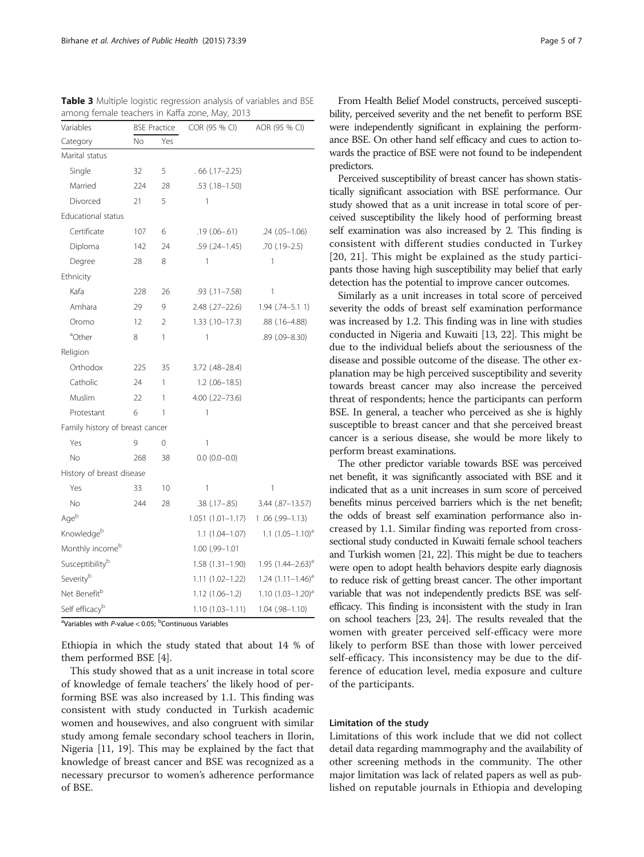Perceived susceptibility of breast cancer has shown statistically significant association with BSE performance. Our study showed that as a unit increase in total score of perceived susceptibility the likely hood of performing breast self examination was also increased by 2. This finding is consistent with different studies conducted in Turkey [[20](#page-5-0), [21](#page-5-0)]. This might be explained as the study participants those having high susceptibility may belief that early detection has the potential to improve cancer outcomes.

Similarly as a unit increases in total score of perceived severity the odds of breast self examination performance was increased by 1.2. This finding was in line with studies conducted in Nigeria and Kuwaiti [\[13](#page-5-0), [22](#page-6-0)]. This might be due to the individual beliefs about the seriousness of the disease and possible outcome of the disease. The other explanation may be high perceived susceptibility and severity towards breast cancer may also increase the perceived threat of respondents; hence the participants can perform BSE. In general, a teacher who perceived as she is highly susceptible to breast cancer and that she perceived breast cancer is a serious disease, she would be more likely to perform breast examinations.

The other predictor variable towards BSE was perceived net benefit, it was significantly associated with BSE and it indicated that as a unit increases in sum score of perceived benefits minus perceived barriers which is the net benefit; the odds of breast self examination performance also increased by 1.1. Similar finding was reported from crosssectional study conducted in Kuwaiti female school teachers and Turkish women [\[21](#page-5-0), [22](#page-6-0)]. This might be due to teachers were open to adopt health behaviors despite early diagnosis to reduce risk of getting breast cancer. The other important variable that was not independently predicts BSE was selfefficacy. This finding is inconsistent with the study in Iran on school teachers [\[23, 24](#page-6-0)]. The results revealed that the women with greater perceived self-efficacy were more likely to perform BSE than those with lower perceived self-efficacy. This inconsistency may be due to the difference of education level, media exposure and culture of the participants.

#### Limitation of the study

Limitations of this work include that we did not collect detail data regarding mammography and the availability of other screening methods in the community. The other major limitation was lack of related papers as well as published on reputable journals in Ethiopia and developing

<span id="page-4-0"></span>Table 3 Multiple logistic regression analysis of variables and BSE among female teachers in Kaffa zone, May, 2013 Variables BSE Practice COR (95 % CI) AOR (95 % CI)

| Category                        | No  | Yes            |                       |                            |
|---------------------------------|-----|----------------|-----------------------|----------------------------|
| Marital status                  |     |                |                       |                            |
| Single                          | 32  | 5              | $.66$ (.17-2.25)      |                            |
| Married                         | 224 | 28             | $.53$ $(.18-1.50)$    |                            |
| Divorced                        | 21  | 5              | 1                     |                            |
| Educational status              |     |                |                       |                            |
| Certificate                     | 107 | 6              | $.19(0.06 - .61)$     | $.24(.05 - 1.06)$          |
| Diploma                         | 142 | 24             | $.59$ $(.24-1.45)$    | $.70(0.19 - 2.5)$          |
| Degree                          | 28  | 8              | 1                     | 1                          |
| Ethnicity                       |     |                |                       |                            |
| Kafa                            | 228 | 26             | $.93$ $(.11 - 7.58)$  | 1                          |
| Amhara                          | 29  | 9              | $2.48$ $(.27-22.6)$   | $1.94$ $(.74-5.11)$        |
| Oromo                           | 12  | $\mathfrak{D}$ | $1.33$ $(.10-17.3)$   | $.88$ (.16–4.88)           |
| ªOther                          | 8   | 1              | 1                     | .89 (.09-8.30)             |
| Religion                        |     |                |                       |                            |
| Orthodox                        | 225 | 35             | 3.72 (.48-28.4)       |                            |
| Catholic                        | 24  | 1              | $1.2$ (.06-18.5)      |                            |
| Muslim                          | 22  | 1              | $4.00$ $(.22 - 73.6)$ |                            |
| Protestant                      | 6   | 1              | 1                     |                            |
| Family history of breast cancer |     |                |                       |                            |
| Yes                             | 9   | 0              | 1                     |                            |
| <b>No</b>                       | 268 | 38             | $0.0 (0.0 - 0.0)$     |                            |
| History of breast disease       |     |                |                       |                            |
| Yes                             | 33  | 10             | 1                     | 1                          |
| No                              | 244 | 28             | $.38$ $(.17 - .85)$   | 3.44 (.87-13.57)           |
| Ageb                            |     |                | $1.051(1.01 - 1.17)$  | 1.06 (.99-1.13)            |
| Knowledgeb                      |     |                | $1.1(1.04 - 1.07)$    | $1.1 (1.05 - 1.10)^{a}$    |
| Monthly income <sup>b</sup>     |     |                | 1.00 (.99-1.01        |                            |
| Susceptibilityb                 |     |                | $1.58(1.31-1.90)$     | 1.95 $(1.44 - 2.63)^a$     |
| Severityb                       |     |                | $1.11(1.02 - 1.22)$   | $1.24$ $(1.11 - 1.46)^{a}$ |
| Net Benefit <sup>b</sup>        |     |                | $1.12(1.06 - 1.2)$    | 1.10 $(1.03 - 1.20)^{a}$   |
| Self efficacy <sup>b</sup>      |     |                | $1.10(1.03 - 1.11)$   | $1.04$ $(.98 - 1.10)$      |

<sup>a</sup>Variables with *P*-value < 0.05; <sup>b</sup>Continuous Variables

Ethiopia in which the study stated that about 14 % of them performed BSE [[4\]](#page-5-0).

This study showed that as a unit increase in total score of knowledge of female teachers' the likely hood of performing BSE was also increased by 1.1. This finding was consistent with study conducted in Turkish academic women and housewives, and also congruent with similar study among female secondary school teachers in Ilorin, Nigeria [\[11](#page-5-0), [19\]](#page-5-0). This may be explained by the fact that knowledge of breast cancer and BSE was recognized as a necessary precursor to women's adherence performance of BSE.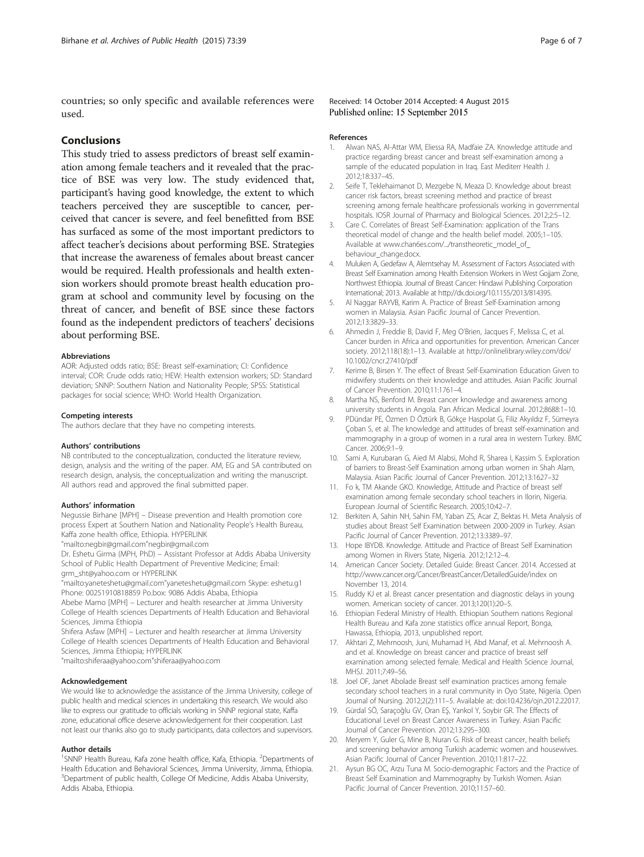<span id="page-5-0"></span>countries; so only specific and available references were used.

## Conclusions

This study tried to assess predictors of breast self examination among female teachers and it revealed that the practice of BSE was very low. The study evidenced that, participant's having good knowledge, the extent to which teachers perceived they are susceptible to cancer, perceived that cancer is severe, and feel benefitted from BSE has surfaced as some of the most important predictors to affect teacher's decisions about performing BSE. Strategies that increase the awareness of females about breast cancer would be required. Health professionals and health extension workers should promote breast health education program at school and community level by focusing on the threat of cancer, and benefit of BSE since these factors found as the independent predictors of teachers' decisions about performing BSE.

#### Abbreviations

AOR: Adjusted odds ratio; BSE: Breast self-examination; CI: Confidence interval; COR: Crude odds ratio; HEW: Health extension workers; SD: Standard deviation; SNNP: Southern Nation and Nationality People; SPSS: Statistical packages for social science; WHO: World Health Organization.

#### Competing interests

The authors declare that they have no competing interests.

#### Authors' contributions

NB contributed to the conceptualization, conducted the literature review, design, analysis and the writing of the paper. AM, EG and SA contributed on research design, analysis, the conceptualization and writing the manuscript. All authors read and approved the final submitted paper.

#### Authors' information

Negussie Birhane [MPH] – Disease prevention and Health promotion core process Expert at Southern Nation and Nationality People's Health Bureau, Kaffa zone health office, Ethiopia. HYPERLINK

"mailto:negbir@gmail.com"negbir@gmail.com

Dr. Eshetu Girma (MPH, PhD) – Assistant Professor at Addis Ababa University School of Public Health Department of Preventive Medicine; Email: grm\_sht@yahoo.com or HYPERLINK

"mailto:yaneteshetu@gmail.com"yaneteshetu@gmail.com Skype: eshetu.g1 Phone: 00251910818859 Po.box: 9086 Addis Ababa, Ethiopia

Abebe Mamo [MPH] – Lecturer and health researcher at Jimma University College of Health sciences Departments of Health Education and Behavioral Sciences, Jimma Ethiopia

Shifera Asfaw [MPH] – Lecturer and health researcher at Jimma University College of Health sciences Departments of Health Education and Behavioral Sciences, Jimma Ethiopia; HYPERLINK

"mailto:shiferaa@yahoo.com"shiferaa@yahoo.com

#### Acknowledgement

We would like to acknowledge the assistance of the Jimma University, college of public health and medical sciences in undertaking this research. We would also like to express our gratitude to officials working in SNNP regional state, Kaffa zone, educational office deserve acknowledgement for their cooperation. Last not least our thanks also go to study participants, data collectors and supervisors.

#### Author details

<sup>1</sup>SNNP Health Bureau, Kafa zone health office, Kafa, Ethiopia. <sup>2</sup>Departments of Health Education and Behavioral Sciences, Jimma University, Jimma, Ethiopia. <sup>3</sup>Department of public health, College Of Medicine, Addis Ababa University, Addis Ababa, Ethiopia.

#### Received: 14 October 2014 Accepted: 4 August 2015 Published online: 15 September 2015

#### References

- 1. Alwan NAS, Al-Attar WM, Eliessa RA, Madfaie ZA. Knowledge attitude and practice regarding breast cancer and breast self-examination among a sample of the educated population in Iraq. East Mediterr Health J. 2012;18:337–45.
- 2. Seife T, Teklehaimanot D, Mezgebe N, Meaza D. Knowledge about breast cancer risk factors, breast screening method and practice of breast screening among female healthcare professionals working in governmental hospitals. IOSR Journal of Pharmacy and Biological Sciences. 2012;2:5–12.
- 3. Care C. Correlates of Breast Self-Examination: application of the Trans theoretical model of change and the health belief model. 2005;1–105. Available at www.chan6es.com/.../transtheoretic\_model\_of [behaviour\\_change.docx.](http://www.chan6es.com/.../transtheoretic_model_of_behaviour_change.docx)
- 4. Muluken A, Gedefaw A, Alemtsehay M. Assessment of Factors Associated with Breast Self Examination among Health Extension Workers in West Gojjam Zone, Northwest Ethiopia. Journal of Breast Cancer: Hindawi Publishing Corporation International; 2013. Available at<http://dx.doi.org/10.1155/2013/814395>.
- 5. Al Naggar RAYVB, Karim A. Practice of Breast Self-Examination among women in Malaysia. Asian Pacific Journal of Cancer Prevention. 2012;13:3829–33.
- 6. Ahmedin J, Freddie B, David F, Meg O'Brien, Jacques F, Melissa C, et al. Cancer burden in Africa and opportunities for prevention. American Cancer society. 2012;118(18):1–13. Available at [http://onlinelibrary.wiley.com/doi/](http://onlinelibrary.wiley.com/doi/10.1002/cncr.27410/pdf) [10.1002/cncr.27410/pdf](http://onlinelibrary.wiley.com/doi/10.1002/cncr.27410/pdf)
- 7. Kerime B, Birsen Y. The effect of Breast Self-Examination Education Given to midwifery students on their knowledge and attitudes. Asian Pacific Journal of Cancer Prevention. 2010;11:1761–4.
- 8. Martha NS, Benford M. Breast cancer knowledge and awareness among university students in Angola. Pan African Medical Journal. 2012;8688:1–10.
- 9. PDündar PE, Özmen D Öztürk B, Gökçe Haspolat G, Filiz Akyıldız F, Sümeyra Çoban S, et al. The knowledge and attitudes of breast self-examination and mammography in a group of women in a rural area in western Turkey. BMC Cancer. 2006;9:1–9.
- 10. Sami A, Kurubaran G, Aied M Alabsi, Mohd R, Sharea I, Kassim S. Exploration of barriers to Breast-Self Examination among urban women in Shah Alam, Malaysia. Asian Pacific Journal of Cancer Prevention. 2012;13:1627–32
- 11. Fo k, TM Akande GKO. Knowledge, Attitude and Practice of breast self examination among female secondary school teachers in Ilorin, Nigeria. European Journal of Scientific Research. 2005;10:42–7.
- 12. Berkiten A, Sahin NH, Sahin FM, Yaban ZS, Acar Z, Bektas H. Meta Analysis of studies about Breast Self Examination between 2000-2009 in Turkey. Asian Pacific Journal of Cancer Prevention. 2012;13:3389–97.
- 13. Hope IBYDB. Knowledge. Attitude and Practice of Breast Self Examination among Women in Rivers State, Nigeria. 2012;12:12–4.
- 14. American Cancer Society. Detailed Guide: Breast Cancer. 2014. Accessed at <http://www.cancer.org/Cancer/BreastCancer/DetailedGuide/index> on November 13, 2014.
- 15. Ruddy KJ et al. Breast cancer presentation and diagnostic delays in young women. American society of cancer. 2013;120(1):20–5.
- 16. Ethiopian Federal Ministry of Health. Ethiopian Southern nations Regional Health Bureau and Kafa zone statistics office annual Report, Bonga, Hawassa, Ethiopia, 2013, unpublished report.
- 17. Akhtari Z, Mehrnoosh, Juni, Muhamad H, Abd Manaf, et al. Mehrnoosh A. and et al. Knowledge on breast cancer and practice of breast self examination among selected female. Medical and Health Science Journal, MHSJ. 2011;7:49–56.
- 18. Joel OF, Janet Abolade Breast self examination practices among female secondary school teachers in a rural community in Oyo State, Nigeria. Open Journal of Nursing. 2012;2(2):111–5. Available at: doi[:10.4236/ojn.2012.22017](http://dx.doi.org/10.4236/ojn.2012.22017).
- 19. Gürdal SÖ, Saraçoğlu GV, Oran EŞ, Yankol Y, Soybir GR. The Effects of Educational Level on Breast Cancer Awareness in Turkey. Asian Pacific Journal of Cancer Prevention. 2012;13:295–300.
- 20. Meryem Y, Guler G, Mine B, Nuran G. Risk of breast cancer, health beliefs and screening behavior among Turkish academic women and housewives. Asian Pacific Journal of Cancer Prevention. 2010;11:817–22.
- 21. Aysun BG OC, Arzu Tuna M. Socio-demographic Factors and the Practice of Breast Self Examination and Mammography by Turkish Women. Asian Pacific Journal of Cancer Prevention. 2010;11:57–60.